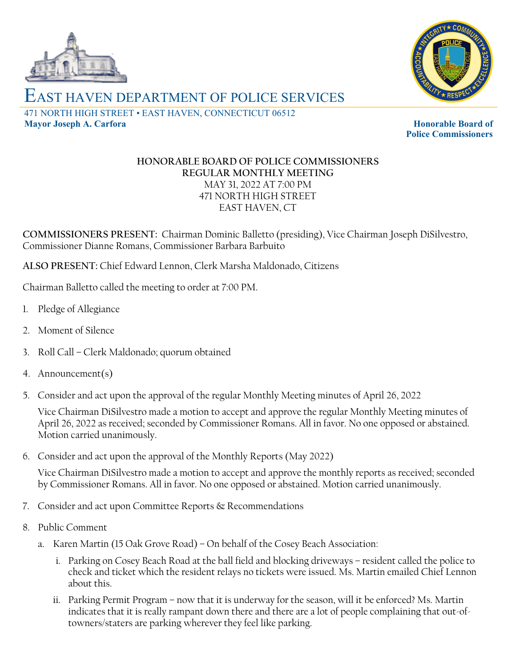



## EAST HAVEN DEPARTMENT OF POLICE SERVICES 471 NORTH HIGH STREET • EAST HAVEN, CONNECTICUT 06512 **Mayor Joseph A. Carfora Honorable Board of Honorable Board of**

**Police Commissioners**

## **HONORABLE BOARD OF POLICE COMMISSIONERS REGULAR MONTHLY MEETING** MAY 31, 2022 AT 7:00 PM 471 NORTH HIGH STREET EAST HAVEN, CT

**COMMISSIONERS PRESENT:** Chairman Dominic Balletto (presiding), Vice Chairman Joseph DiSilvestro, Commissioner Dianne Romans, Commissioner Barbara Barbuito

**ALSO PRESENT:** Chief Edward Lennon, Clerk Marsha Maldonado, Citizens

Chairman Balletto called the meeting to order at 7:00 PM.

- 1. Pledge of Allegiance
- 2. Moment of Silence
- 3. Roll Call Clerk Maldonado; quorum obtained
- 4. Announcement(s)
- 5. Consider and act upon the approval of the regular Monthly Meeting minutes of April 26, 2022

Vice Chairman DiSilvestro made a motion to accept and approve the regular Monthly Meeting minutes of April 26, 2022 as received; seconded by Commissioner Romans. All in favor. No one opposed or abstained. Motion carried unanimously.

6. Consider and act upon the approval of the Monthly Reports (May 2022)

Vice Chairman DiSilvestro made a motion to accept and approve the monthly reports as received; seconded by Commissioner Romans. All in favor. No one opposed or abstained. Motion carried unanimously.

- 7. Consider and act upon Committee Reports & Recommendations
- 8. Public Comment
	- a. Karen Martin (15 Oak Grove Road) On behalf of the Cosey Beach Association:
		- i. Parking on Cosey Beach Road at the ball field and blocking driveways resident called the police to check and ticket which the resident relays no tickets were issued. Ms. Martin emailed Chief Lennon about this.
		- ii. Parking Permit Program now that it is underway for the season, will it be enforced? Ms. Martin indicates that it is really rampant down there and there are a lot of people complaining that out-oftowners/staters are parking wherever they feel like parking.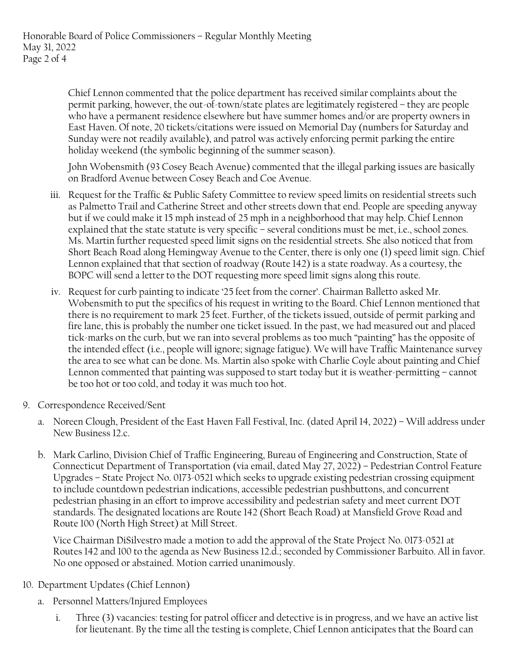Chief Lennon commented that the police department has received similar complaints about the permit parking, however, the out-of-town/state plates are legitimately registered – they are people who have a permanent residence elsewhere but have summer homes and/or are property owners in East Haven. Of note, 20 tickets/citations were issued on Memorial Day (numbers for Saturday and Sunday were not readily available), and patrol was actively enforcing permit parking the entire holiday weekend (the symbolic beginning of the summer season).

John Wobensmith (93 Cosey Beach Avenue) commented that the illegal parking issues are basically on Bradford Avenue between Cosey Beach and Coe Avenue.

- iii. Request for the Traffic & Public Safety Committee to review speed limits on residential streets such as Palmetto Trail and Catherine Street and other streets down that end. People are speeding anyway but if we could make it 15 mph instead of 25 mph in a neighborhood that may help. Chief Lennon explained that the state statute is very specific – several conditions must be met, i.e., school zones. Ms. Martin further requested speed limit signs on the residential streets. She also noticed that from Short Beach Road along Hemingway Avenue to the Center, there is only one (1) speed limit sign. Chief Lennon explained that that section of roadway (Route 142) is a state roadway. As a courtesy, the BOPC will send a letter to the DOT requesting more speed limit signs along this route.
- iv. Request for curb painting to indicate '25 feet from the corner'. Chairman Balletto asked Mr. Wobensmith to put the specifics of his request in writing to the Board. Chief Lennon mentioned that there is no requirement to mark 25 feet. Further, of the tickets issued, outside of permit parking and fire lane, this is probably the number one ticket issued. In the past, we had measured out and placed tick-marks on the curb, but we ran into several problems as too much "painting" has the opposite of the intended effect (i.e., people will ignore; signage fatigue). We will have Traffic Maintenance survey the area to see what can be done. Ms. Martin also spoke with Charlie Coyle about painting and Chief Lennon commented that painting was supposed to start today but it is weather-permitting – cannot be too hot or too cold, and today it was much too hot.
- 9. Correspondence Received/Sent
	- a. Noreen Clough, President of the East Haven Fall Festival, Inc. (dated April 14, 2022) Will address under New Business 12.c.
	- b. Mark Carlino, Division Chief of Traffic Engineering, Bureau of Engineering and Construction, State of Connecticut Department of Transportation (via email, dated May 27, 2022) – Pedestrian Control Feature Upgrades – State Project No. 0173-0521 which seeks to upgrade existing pedestrian crossing equipment to include countdown pedestrian indications, accessible pedestrian pushbuttons, and concurrent pedestrian phasing in an effort to improve accessibility and pedestrian safety and meet current DOT standards. The designated locations are Route 142 (Short Beach Road) at Mansfield Grove Road and Route 100 (North High Street) at Mill Street.

Vice Chairman DiSilvestro made a motion to add the approval of the State Project No. 0173-0521 at Routes 142 and 100 to the agenda as New Business 12.d.; seconded by Commissioner Barbuito. All in favor. No one opposed or abstained. Motion carried unanimously.

## 10. Department Updates (Chief Lennon)

- a. Personnel Matters/Injured Employees
	- i. Three (3) vacancies: testing for patrol officer and detective is in progress, and we have an active list for lieutenant. By the time all the testing is complete, Chief Lennon anticipates that the Board can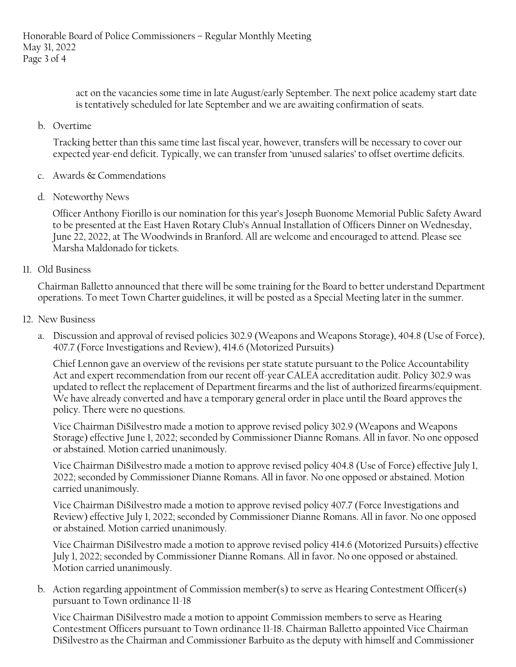act on the vacancies some time in late August/early September. The next police academy start date is tentatively scheduled for late September and we are awaiting confirmation of seats.

b. Overtime

Tracking better than this same time last fiscal year, however, transfers will be necessary to cover our expected year-end deficit. Typically, we can transfer from 'unused salaries' to offset overtime deficits.

- c. Awards & Commendations
- d. Noteworthy News

Officer Anthony Fiorillo is our nomination for this year's Joseph Buonome Memorial Public Safety Award to be presented at the East Haven Rotary Club's Annual Installation of Officers Dinner on Wednesday, June 22, 2022, at The Woodwinds in Branford. All are welcome and encouraged to attend. Please see Marsha Maldonado for tickets.

11. Old Business

Chairman Balletto announced that there will be some training for the Board to better understand Department operations. To meet Town Charter guidelines, it will be posted as a Special Meeting later in the summer.

- 12. New Business
	- a. Discussion and approval of revised policies 302.9 (Weapons and Weapons Storage), 404.8 (Use of Force), 407.7 (Force Investigations and Review), 414.6 (Motorized Pursuits)

Chief Lennon gave an overview of the revisions per state statute pursuant to the Police Accountability Act and expert recommendation from our recent off-year CALEA accreditation audit. Policy 302.9 was updated to reflect the replacement of Department firearms and the list of authorized firearms/equipment. We have already converted and have a temporary general order in place until the Board approves the policy. There were no questions.

Vice Chairman DiSilvestro made a motion to approve revised policy 302.9 (Weapons and Weapons Storage) effective June 1, 2022; seconded by Commissioner Dianne Romans. All in favor. No one opposed or abstained. Motion carried unanimously.

Vice Chairman DiSilvestro made a motion to approve revised policy 404.8 (Use of Force) effective July 1, 2022; seconded by Commissioner Dianne Romans. All in favor. No one opposed or abstained. Motion carried unanimously.

Vice Chairman DiSilvestro made a motion to approve revised policy 407.7 (Force Investigations and Review) effective July 1, 2022; seconded by Commissioner Dianne Romans. All in favor. No one opposed or abstained. Motion carried unanimously.

Vice Chairman DiSilvestro made a motion to approve revised policy 414.6 (Motorized Pursuits) effective July 1, 2022; seconded by Commissioner Dianne Romans. All in favor. No one opposed or abstained. Motion carried unanimously.

b. Action regarding appointment of Commission member(s) to serve as Hearing Contestment Officer(s) pursuant to Town ordinance 11-18

Vice Chairman DiSilvestro made a motion to appoint Commission members to serve as Hearing Contestment Officers pursuant to Town ordinance 11-18. Chairman Balletto appointed Vice Chairman DiSilvestro as the Chairman and Commissioner Barbuito as the deputy with himself and Commissioner